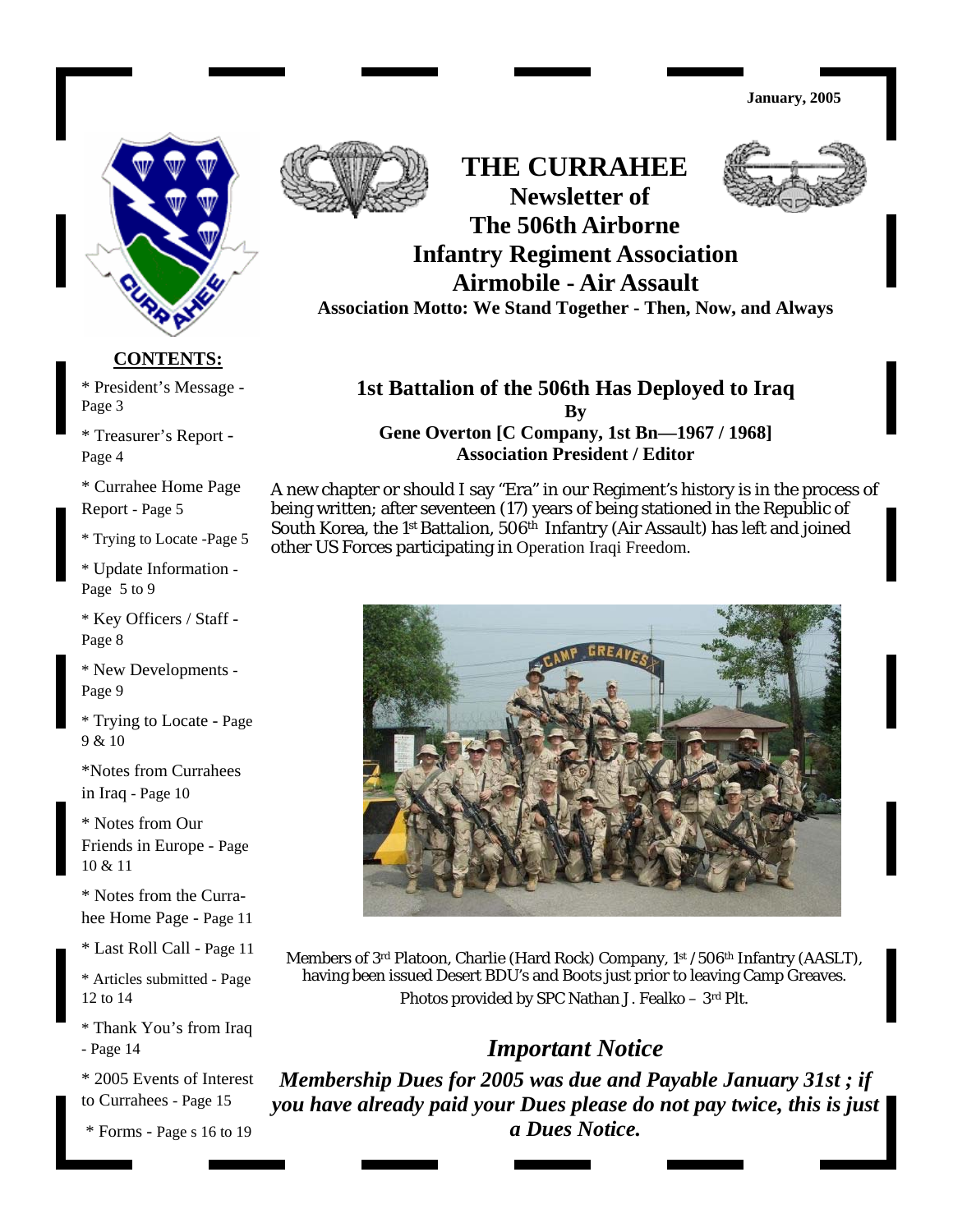

#### **CONTENTS:**

President's Message - \* President's Message - Page 3

Treasurer's Report - \* Treasurer's Report - Page 4

Page 4<br>\* Currahee Home Page

Report - Page 5

\* Trying to Locate -Page 5

\* Update Information -Page 5 to 9

Key Officers / Staff - \* Key Officers / Staff - Page 8 Page 8

\* New Developments -Page 9

\* Trying to Locate - Page 9 & 10

in Iraq - Page 10 \*Notes from Currahees

\* Notes from Our Friends in Europe - Page 10 & 11

\* Notes from the Curra-Home Page - Page 11 hee Home Page - Page 11

Last Roll Call - Page 12 \* Last Roll Call - Page 11

\* Articles submitted - Page 12 to 14

\* Thank You's from Iraq - Page 14

\* 2005 Events of Interest to Currahees - Page 15

\* Forms - Page s 16 to 19



**THE CURRAHEE Newsletter of The 506th Airborne** 

# **Infantry Regiment Association Airmobile - Air Assault**

**Association Motto: We Stand Together - Then, Now, and Always** 

### **1st Battalion of the 506th Has Deployed to Iraq By**

**Gene Overton [C Company, 1st Bn—1967 / 1968] Association President / Editor** 

A new chapter or should I say "Era" in our Regiment's history is in the process of being written; after seventeen (17) years of being stationed in the Republic of South Korea, the 1st Battalion, 506th Infantry (Air Assault) has left and joined other US Forces participating in Operation Iraqi Freedom.



Members of 3<sup>rd</sup> Platoon, Charlie (Hard Rock) Company, 1<sup>st</sup> /506<sup>th</sup> Infantry (AASLT), having been issued Desert BDU's and Boots just prior to leaving Camp Greaves. Photos provided by SPC Nathan J. Fealko – 3rd Plt.

# *Important Notice*

*Membership Dues for 2005 was due and Payable January 31st ; if you have already paid your Dues please do not pay twice, this is just a Dues Notice.* 

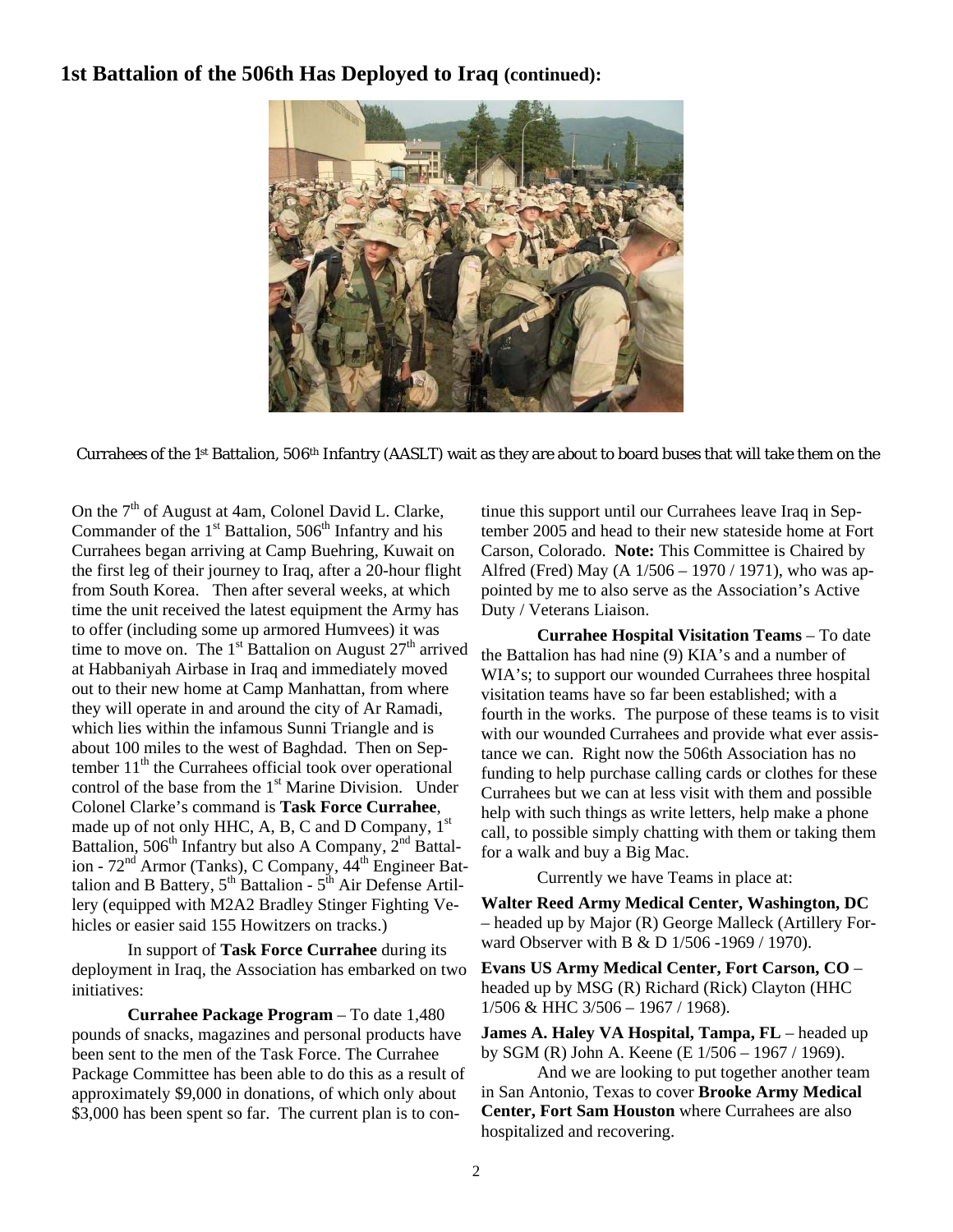### **1st Battalion of the 506th Has Deployed to Iraq (continued):**



Currahees of the 1st Battalion, 506th Infantry (AASLT) wait as they are about to board buses that will take them on the

On the  $7<sup>th</sup>$  of August at 4am, Colonel David L. Clarke, Commander of the  $1<sup>st</sup>$  Battalion,  $506<sup>th</sup>$  Infantry and his Currahees began arriving at Camp Buehring, Kuwait on the first leg of their journey to Iraq, after a 20-hour flight from South Korea.Then after several weeks, at which time the unit received the latest equipment the Army has to offer (including some up armored Humvees) it was time to move on. The  $1<sup>st</sup>$  Battalion on August  $27<sup>th</sup>$  arrived at Habbaniyah Airbase in Iraq and immediately moved out to their new home at Camp Manhattan, from where they will operate in and around the city of Ar Ramadi, which lies within the infamous Sunni Triangle and is about 100 miles to the west of Baghdad. Then on September  $11<sup>th</sup>$  the Currahees official took over operational control of the base from the 1<sup>st</sup> Marine Division. Under Colonel Clarke's command is **Task Force Currahee**, made up of not only HHC, A, B, C and D Company,  $1<sup>st</sup>$ Battalion, 506<sup>th</sup> Infantry but also A Company,  $2^{nd}$  Battalion - 72<sup>nd</sup> Armor (Tanks), C Company,  $44<sup>th</sup>$  Engineer Battalion and B Battery,  $5^{th}$  Battalion -  $5^{th}$  Air Defense Artillery (equipped with M2A2 Bradley Stinger Fighting Vehicles or easier said 155 Howitzers on tracks.)

 In support of **Task Force Currahee** during its deployment in Iraq, the Association has embarked on two initiatives:

 **Currahee Package Program** – To date 1,480 pounds of snacks, magazines and personal products have been sent to the men of the Task Force. The Currahee Package Committee has been able to do this as a result of approximately \$9,000 in donations, of which only about \$3,000 has been spent so far. The current plan is to continue this support until our Currahees leave Iraq in September 2005 and head to their new stateside home at Fort Carson, Colorado. **Note:** This Committee is Chaired by Alfred (Fred) May (A 1/506 – 1970 / 1971), who was appointed by me to also serve as the Association's Active Duty / Veterans Liaison.

 **Currahee Hospital Visitation Teams** – To date the Battalion has had nine (9) KIA's and a number of WIA's; to support our wounded Currahees three hospital visitation teams have so far been established; with a fourth in the works. The purpose of these teams is to visit with our wounded Currahees and provide what ever assistance we can. Right now the 506th Association has no funding to help purchase calling cards or clothes for these Currahees but we can at less visit with them and possible help with such things as write letters, help make a phone call, to possible simply chatting with them or taking them for a walk and buy a Big Mac.

Currently we have Teams in place at:

**Walter Reed Army Medical Center, Washington, DC** – headed up by Major (R) George Malleck (Artillery Forward Observer with B & D 1/506 -1969 / 1970).

**Evans US Army Medical Center, Fort Carson, CO** – headed up by MSG (R) Richard (Rick) Clayton (HHC 1/506 & HHC 3/506 – 1967 / 1968).

**James A. Haley VA Hospital, Tampa, FL** – headed up by SGM (R) John A. Keene (E 1/506 – 1967 / 1969).

 And we are looking to put together another team in San Antonio, Texas to cover **Brooke Army Medical Center, Fort Sam Houston** where Currahees are also hospitalized and recovering.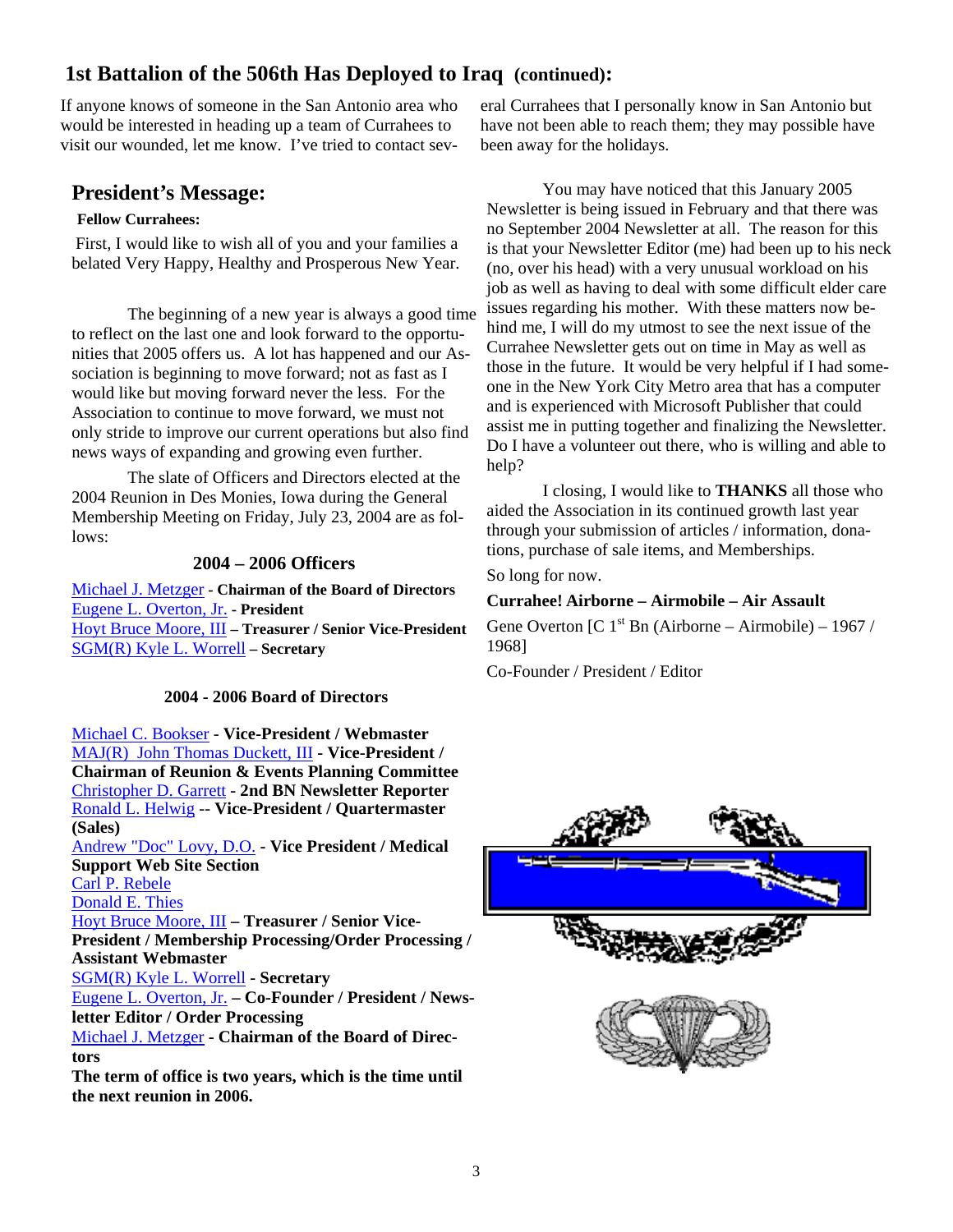# **1st Battalion of the 506th Has Deployed to Iraq (continued):**

If anyone knows of someone in the San Antonio area who would be interested in heading up a team of Currahees to visit our wounded, let me know. I've tried to contact sev-

# **President's Message:**

#### **Fellow Currahees:**

First, I would like to wish all of you and your families a belated Very Happy, Healthy and Prosperous New Year.

 The beginning of a new year is always a good time to reflect on the last one and look forward to the opportunities that 2005 offers us. A lot has happened and our Association is beginning to move forward; not as fast as I would like but moving forward never the less. For the Association to continue to move forward, we must not only stride to improve our current operations but also find news ways of expanding and growing even further.

 The slate of Officers and Directors elected at the 2004 Reunion in Des Monies, Iowa during the General Membership Meeting on Friday, July 23, 2004 are as follows:

#### **2004 – 2006 Officers**

Michael J. Metzger **- Chairman of the Board of Directors**  Eugene L. Overton, Jr. **- President**  Hoyt Bruce Moore, III **– Treasurer / Senior Vice-President**  SGM(R) Kyle L. Worrell **– Secretary** 

### **2004 - 2006 Board of Directors**

Michael C. Bookser - **Vice-President / Webmaster** MAJ(R) John Thomas Duckett, III **- Vice-President / Chairman of Reunion & Events Planning Committee** Christopher D. Garrett **- 2nd BN Newsletter Reporter** Ronald L. Helwig -- **Vice-President / Quartermaster (Sales)** Andrew "Doc" Lovy, D.O. **- Vice President / Medical Support Web Site Section** Carl P. Rebele Donald E. Thies Hoyt Bruce Moore, III **– Treasurer / Senior Vice-President / Membership Processing/Order Processing / Assistant Webmaster** SGM(R) Kyle L. Worrell **- Secretary** Eugene L. Overton, Jr. **– Co-Founder / President / Newsletter Editor / Order Processing** Michael J. Metzger **- Chairman of the Board of Directors The term of office is two years, which is the time until the next reunion in 2006.**

eral Currahees that I personally know in San Antonio but have not been able to reach them; they may possible have been away for the holidays.

 You may have noticed that this January 2005 Newsletter is being issued in February and that there was no September 2004 Newsletter at all. The reason for this is that your Newsletter Editor (me) had been up to his neck (no, over his head) with a very unusual workload on his job as well as having to deal with some difficult elder care issues regarding his mother. With these matters now behind me, I will do my utmost to see the next issue of the Currahee Newsletter gets out on time in May as well as those in the future. It would be very helpful if I had someone in the New York City Metro area that has a computer and is experienced with Microsoft Publisher that could assist me in putting together and finalizing the Newsletter. Do I have a volunteer out there, who is willing and able to help?

 I closing, I would like to **THANKS** all those who aided the Association in its continued growth last year through your submission of articles / information, donations, purchase of sale items, and Memberships.

So long for now.

#### **Currahee! Airborne – Airmobile – Air Assault**

Gene Overton  $[C_1^{\text{st}}$  Bn (Airborne – Airmobile) – 1967 / 1968]

Co-Founder / President / Editor

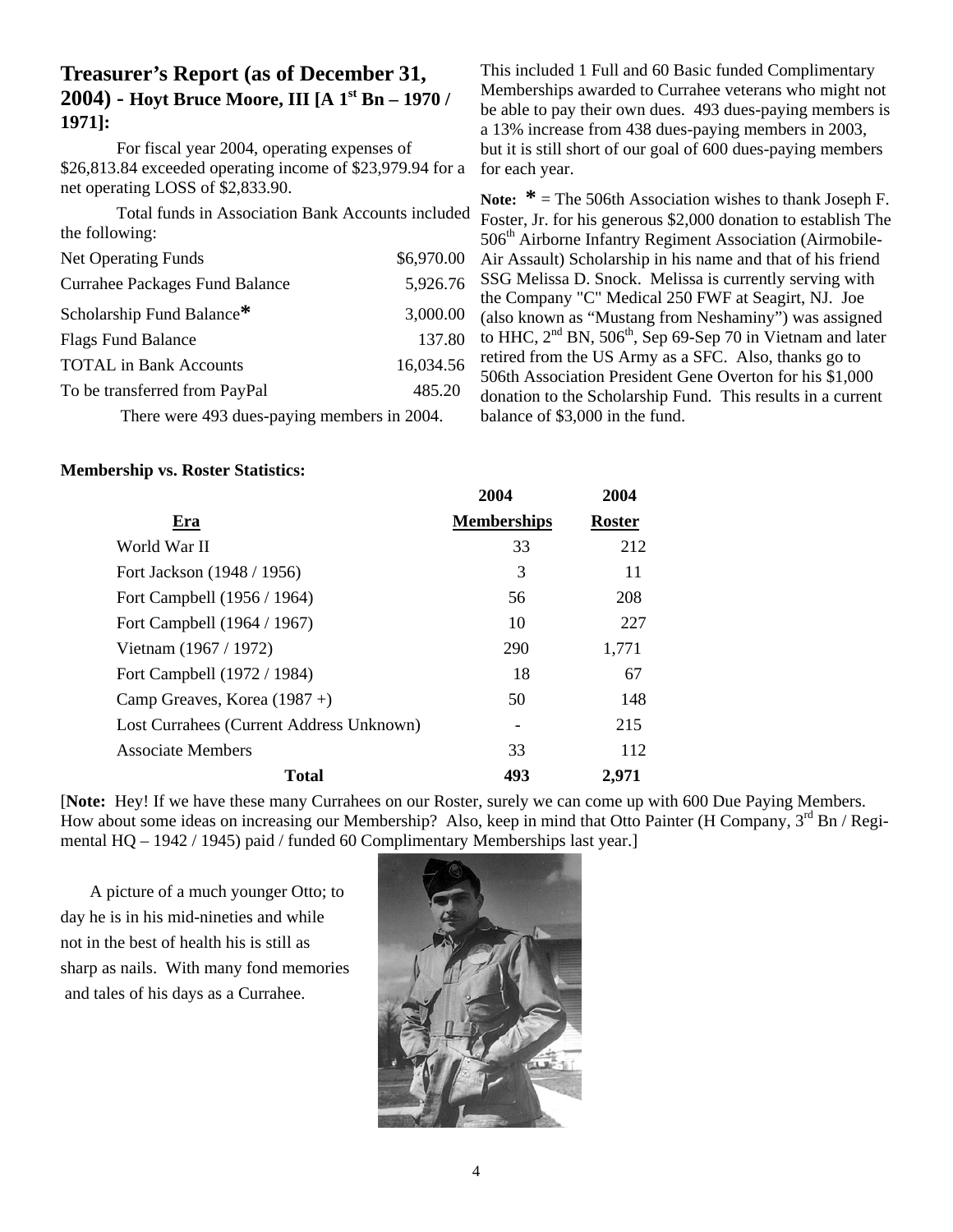# **Treasurer's Report (as of December 31, 2004) - Hoyt Bruce Moore, III [A 1st Bn – 1970 / 1971]:**

 For fiscal year 2004, operating expenses of \$26,813.84 exceeded operating income of \$23,979.94 for a net operating LOSS of \$2,833.90.

 Total funds in Association Bank Accounts included the following:

| <b>Net Operating Funds</b>                     | \$6,970.00 |  |
|------------------------------------------------|------------|--|
| <b>Currahee Packages Fund Balance</b>          | 5,926.76   |  |
| Scholarship Fund Balance*                      | 3,000.00   |  |
| <b>Flags Fund Balance</b>                      | 137.80     |  |
| <b>TOTAL</b> in Bank Accounts                  | 16,034.56  |  |
| To be transferred from PayPal                  | 485.20     |  |
| There were $402$ dyes neving mambage in $2004$ |            |  |

There were 493 dues-paying members in 2004.

This included 1 Full and 60 Basic funded Complimentary Memberships awarded to Currahee veterans who might not be able to pay their own dues. 493 dues-paying members is a 13% increase from 438 dues-paying members in 2003, but it is still short of our goal of 600 dues-paying members for each year.

**Note:**  $* =$  The 506th Association wishes to thank Joseph F. Foster, Jr. for his generous \$2,000 donation to establish The 506<sup>th</sup> Airborne Infantry Regiment Association (Airmobile-Air Assault) Scholarship in his name and that of his friend SSG Melissa D. Snock. Melissa is currently serving with the Company "C" Medical 250 FWF at Seagirt, NJ. Joe (also known as "Mustang from Neshaminy") was assigned to HHC,  $2^{nd}$  BN,  $506^{th}$ , Sep 69-Sep 70 in Vietnam and later retired from the US Army as a SFC. Also, thanks go to 506th Association President Gene Overton for his \$1,000 donation to the Scholarship Fund. This results in a current balance of \$3,000 in the fund.

#### **Membership vs. Roster Statistics:**

|                                          | 2004               | 2004          |
|------------------------------------------|--------------------|---------------|
| Era                                      | <b>Memberships</b> | <b>Roster</b> |
| World War II                             | 33                 | 212           |
| Fort Jackson (1948 / 1956)               | 3                  | 11            |
| Fort Campbell (1956 / 1964)              | 56                 | 208           |
| Fort Campbell (1964 / 1967)              | 10                 | 227           |
| Vietnam (1967 / 1972)                    | 290                | 1,771         |
| Fort Campbell (1972 / 1984)              | 18                 | 67            |
| Camp Greaves, Korea $(1987 +)$           | 50                 | 148           |
| Lost Currahees (Current Address Unknown) |                    | 215           |
| <b>Associate Members</b>                 | 33                 | 112           |
| <b>Total</b>                             | 493                | 2,971         |

[**Note:** Hey! If we have these many Currahees on our Roster, surely we can come up with 600 Due Paying Members. How about some ideas on increasing our Membership? Also, keep in mind that Otto Painter (H Company,  $3^{rd}$  Bn / Regimental HQ – 1942 / 1945) paid / funded 60 Complimentary Memberships last year.]

A picture of a much younger Otto; to day he is in his mid-nineties and while not in the best of health his is still as sharp as nails. With many fond memories and tales of his days as a Currahee.

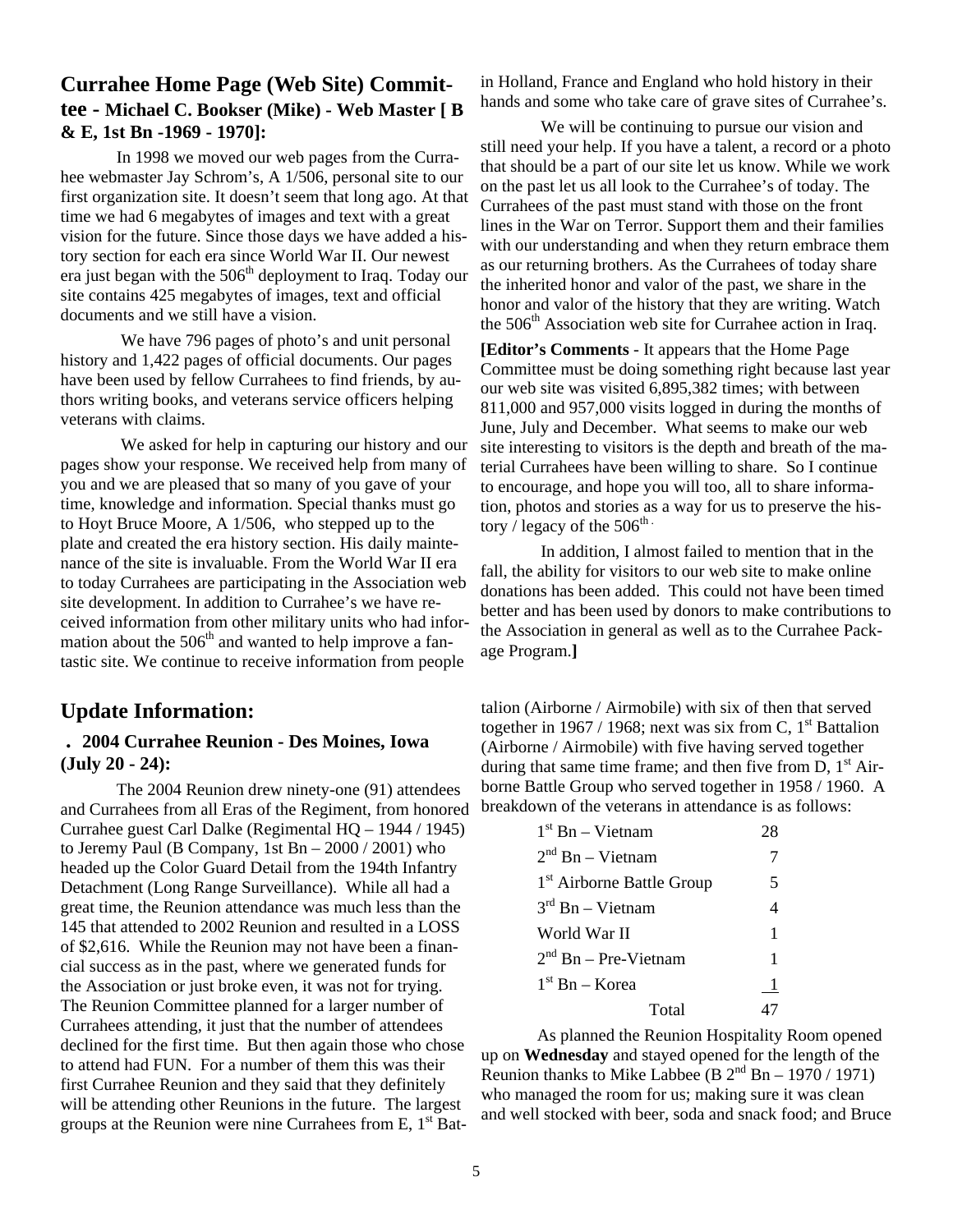### **Currahee Home Page (Web Site) Committee - Michael C. Bookser (Mike) - Web Master [ B & E, 1st Bn -1969 - 1970]:**

 In 1998 we moved our web pages from the Currahee webmaster Jay Schrom's, A 1/506, personal site to our first organization site. It doesn't seem that long ago. At that time we had 6 megabytes of images and text with a great vision for the future. Since those days we have added a history section for each era since World War II. Our newest era just began with the  $506<sup>th</sup>$  deployment to Iraq. Today our site contains 425 megabytes of images, text and official documents and we still have a vision.

 We have 796 pages of photo's and unit personal history and 1,422 pages of official documents. Our pages have been used by fellow Currahees to find friends, by authors writing books, and veterans service officers helping veterans with claims.

 We asked for help in capturing our history and our pages show your response. We received help from many of you and we are pleased that so many of you gave of your time, knowledge and information. Special thanks must go to Hoyt Bruce Moore, A 1/506, who stepped up to the plate and created the era history section. His daily maintenance of the site is invaluable. From the World War II era to today Currahees are participating in the Association web site development. In addition to Currahee's we have received information from other military units who had information about the  $506<sup>th</sup>$  and wanted to help improve a fantastic site. We continue to receive information from people

# **Update Information:**

### **. 2004 Currahee Reunion - Des Moines, Iowa (July 20 - 24):**

The 2004 Reunion drew ninety-one (91) attendees and Currahees from all Eras of the Regiment, from honored Currahee guest Carl Dalke (Regimental HQ – 1944 / 1945) to Jeremy Paul (B Company, 1st  $Bn - 2000 / 2001$ ) who headed up the Color Guard Detail from the 194th Infantry Detachment (Long Range Surveillance). While all had a great time, the Reunion attendance was much less than the 145 that attended to 2002 Reunion and resulted in a LOSS of \$2,616. While the Reunion may not have been a financial success as in the past, where we generated funds for the Association or just broke even, it was not for trying. The Reunion Committee planned for a larger number of Currahees attending, it just that the number of attendees declined for the first time. But then again those who chose to attend had FUN. For a number of them this was their first Currahee Reunion and they said that they definitely will be attending other Reunions in the future. The largest groups at the Reunion were nine Currahees from E,  $1<sup>st</sup>$  Bat-

in Holland, France and England who hold history in their hands and some who take care of grave sites of Currahee's.

 We will be continuing to pursue our vision and still need your help. If you have a talent, a record or a photo that should be a part of our site let us know. While we work on the past let us all look to the Currahee's of today. The Currahees of the past must stand with those on the front lines in the War on Terror. Support them and their families with our understanding and when they return embrace them as our returning brothers. As the Currahees of today share the inherited honor and valor of the past, we share in the honor and valor of the history that they are writing. Watch the  $506<sup>th</sup>$  Association web site for Currahee action in Iraq.

**[Editor's Comments** - It appears that the Home Page Committee must be doing something right because last year our web site was visited 6,895,382 times; with between 811,000 and 957,000 visits logged in during the months of June, July and December. What seems to make our web site interesting to visitors is the depth and breath of the material Currahees have been willing to share. So I continue to encourage, and hope you will too, all to share information, photos and stories as a way for us to preserve the history / legacy of the  $506^{\text{th}}$ .

 In addition, I almost failed to mention that in the fall, the ability for visitors to our web site to make online donations has been added. This could not have been timed better and has been used by donors to make contributions to the Association in general as well as to the Currahee Package Program.**]**

talion (Airborne / Airmobile) with six of then that served together in 1967 / 1968; next was six from C,  $1<sup>st</sup>$  Battalion (Airborne / Airmobile) with five having served together during that same time frame; and then five from D,  $1<sup>st</sup>$  Airborne Battle Group who served together in 1958 / 1960. A breakdown of the veterans in attendance is as follows:

| $1st$ Bn – Vietnam                    | 28                       |
|---------------------------------------|--------------------------|
| $2nd$ Bn – Vietnam                    |                          |
| 1 <sup>st</sup> Airborne Battle Group | 5                        |
| $3rd$ Bn – Vietnam                    | $\overline{\mathcal{L}}$ |
| World War II                          | 1                        |
| $2nd$ Bn – Pre-Vietnam                | 1                        |
| $1st$ Bn – Korea                      | 1                        |
| Total                                 |                          |

 As planned the Reunion Hospitality Room opened up on **Wednesday** and stayed opened for the length of the Reunion thanks to Mike Labbee (B  $2<sup>nd</sup>$  Bn – 1970 / 1971) who managed the room for us; making sure it was clean and well stocked with beer, soda and snack food; and Bruce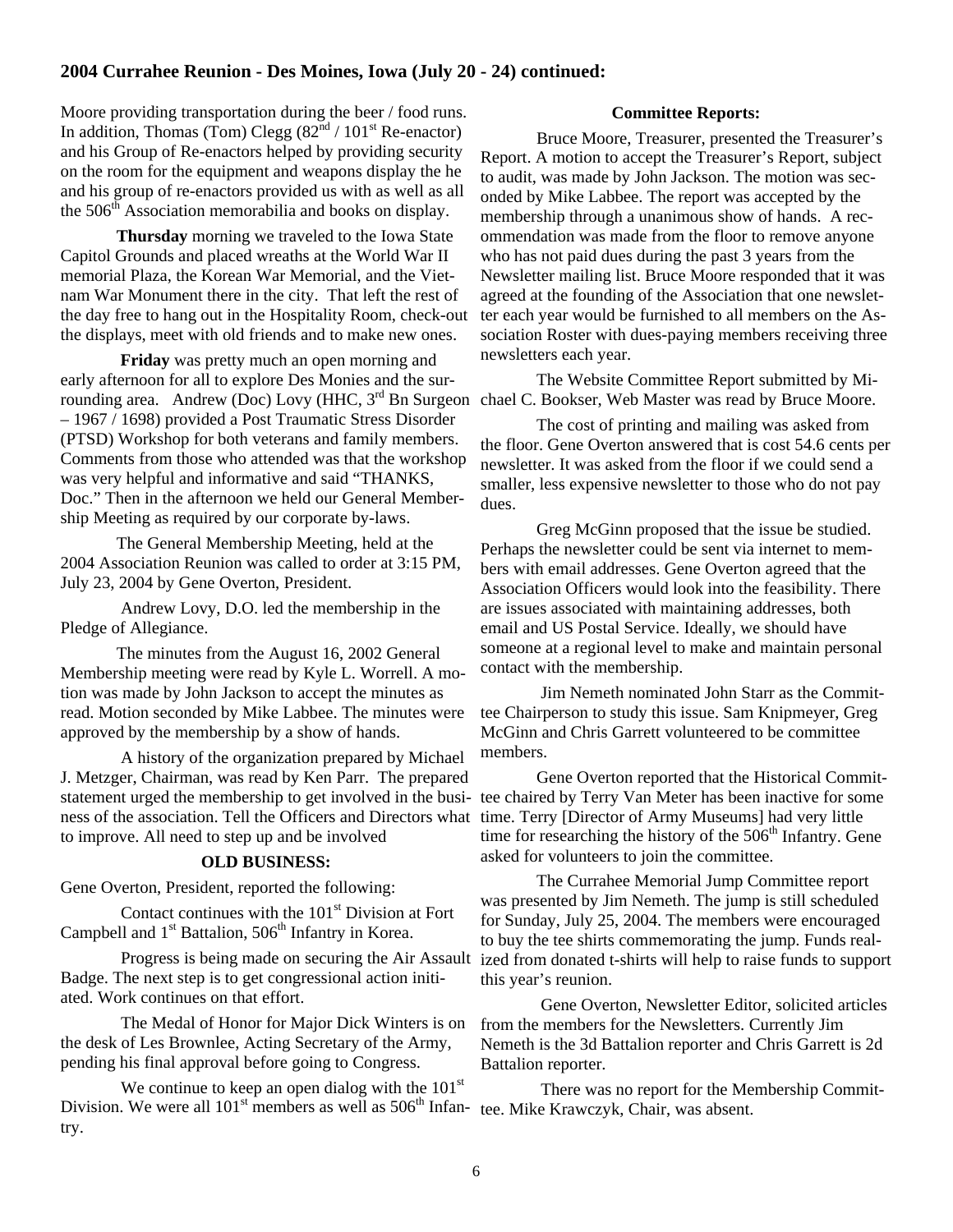#### **2004 Currahee Reunion - Des Moines, Iowa (July 20 - 24) continued:**

Moore providing transportation during the beer / food runs. In addition, Thomas (Tom) Clegg  $(82<sup>nd</sup> / 101<sup>st</sup>$  Re-enactor) and his Group of Re-enactors helped by providing security on the room for the equipment and weapons display the he and his group of re-enactors provided us with as well as all the  $506<sup>th</sup>$  Association memorabilia and books on display.

**Thursday** morning we traveled to the Iowa State Capitol Grounds and placed wreaths at the World War II memorial Plaza, the Korean War Memorial, and the Vietnam War Monument there in the city. That left the rest of the day free to hang out in the Hospitality Room, check-out the displays, meet with old friends and to make new ones.

**Friday** was pretty much an open morning and early afternoon for all to explore Des Monies and the surrounding area. Andrew (Doc) Lovy (HHC, 3<sup>rd</sup> Bn Surgeon chael C. Bookser, Web Master was read by Bruce Moore. – 1967 / 1698) provided a Post Traumatic Stress Disorder (PTSD) Workshop for both veterans and family members. Comments from those who attended was that the workshop was very helpful and informative and said "THANKS, Doc." Then in the afternoon we held our General Membership Meeting as required by our corporate by-laws.

 The General Membership Meeting, held at the 2004 Association Reunion was called to order at 3:15 PM, July 23, 2004 by Gene Overton, President.

 Andrew Lovy, D.O. led the membership in the Pledge of Allegiance.

 The minutes from the August 16, 2002 General Membership meeting were read by Kyle L. Worrell. A motion was made by John Jackson to accept the minutes as read. Motion seconded by Mike Labbee. The minutes were approved by the membership by a show of hands.

 A history of the organization prepared by Michael J. Metzger, Chairman, was read by Ken Parr. The prepared statement urged the membership to get involved in the business of the association. Tell the Officers and Directors what time. Terry [Director of Army Museums] had very little to improve. All need to step up and be involved

#### **OLD BUSINESS:**

Gene Overton, President, reported the following:

Contact continues with the  $101<sup>st</sup>$  Division at Fort Campbell and  $1<sup>st</sup>$  Battalion,  $506<sup>th</sup>$  Infantry in Korea.

 Progress is being made on securing the Air Assault Badge. The next step is to get congressional action initiated. Work continues on that effort.

 The Medal of Honor for Major Dick Winters is on the desk of Les Brownlee, Acting Secretary of the Army, pending his final approval before going to Congress.

We continue to keep an open dialog with the  $101<sup>st</sup>$ Division. We were all  $101<sup>st</sup>$  members as well as  $506<sup>th</sup>$  Infan-tee. Mike Krawczyk, Chair, was absent. try.

#### **Committee Reports:**

 Bruce Moore, Treasurer, presented the Treasurer's Report. A motion to accept the Treasurer's Report, subject to audit, was made by John Jackson. The motion was seconded by Mike Labbee. The report was accepted by the membership through a unanimous show of hands. A recommendation was made from the floor to remove anyone who has not paid dues during the past 3 years from the Newsletter mailing list. Bruce Moore responded that it was agreed at the founding of the Association that one newsletter each year would be furnished to all members on the Association Roster with dues-paying members receiving three newsletters each year.

The Website Committee Report submitted by Mi-

 The cost of printing and mailing was asked from the floor. Gene Overton answered that is cost 54.6 cents per newsletter. It was asked from the floor if we could send a smaller, less expensive newsletter to those who do not pay dues.

 Greg McGinn proposed that the issue be studied. Perhaps the newsletter could be sent via internet to members with email addresses. Gene Overton agreed that the Association Officers would look into the feasibility. There are issues associated with maintaining addresses, both email and US Postal Service. Ideally, we should have someone at a regional level to make and maintain personal contact with the membership.

 Jim Nemeth nominated John Starr as the Committee Chairperson to study this issue. Sam Knipmeyer, Greg McGinn and Chris Garrett volunteered to be committee members.

 Gene Overton reported that the Historical Committee chaired by Terry Van Meter has been inactive for some time for researching the history of the 506<sup>th</sup> Infantry. Gene asked for volunteers to join the committee.

 The Currahee Memorial Jump Committee report was presented by Jim Nemeth. The jump is still scheduled for Sunday, July 25, 2004. The members were encouraged to buy the tee shirts commemorating the jump. Funds realized from donated t-shirts will help to raise funds to support this year's reunion.

 Gene Overton, Newsletter Editor, solicited articles from the members for the Newsletters. Currently Jim Nemeth is the 3d Battalion reporter and Chris Garrett is 2d Battalion reporter.

There was no report for the Membership Commit-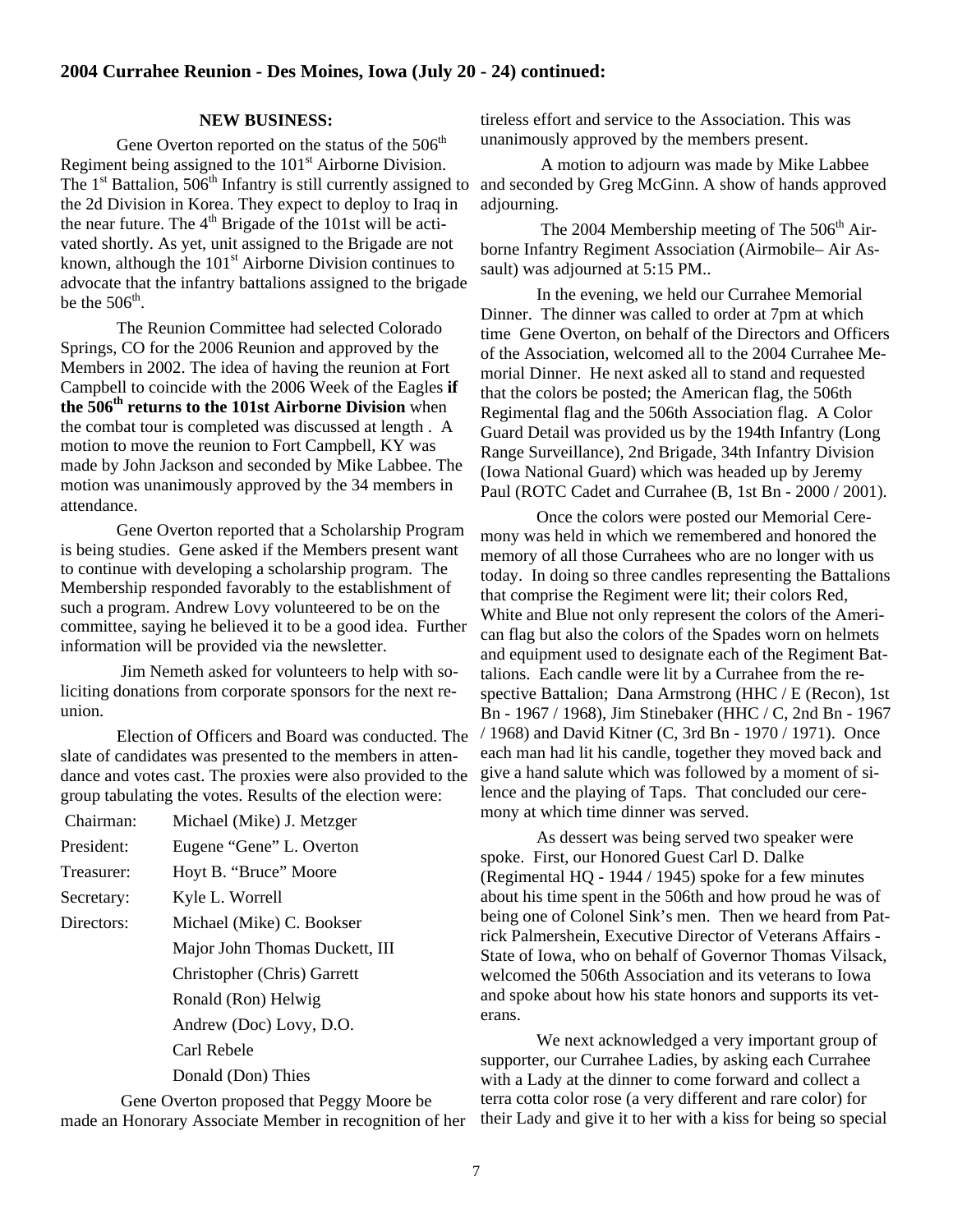#### **NEW BUSINESS:**

Gene Overton reported on the status of the  $506<sup>th</sup>$ Regiment being assigned to the  $101<sup>st</sup>$  Airborne Division. The  $1<sup>st</sup>$  Battalion,  $506<sup>th</sup>$  Infantry is still currently assigned to the 2d Division in Korea. They expect to deploy to Iraq in the near future. The  $4<sup>th</sup>$  Brigade of the 101st will be activated shortly. As yet, unit assigned to the Brigade are not known, although the 101<sup>st</sup> Airborne Division continues to advocate that the infantry battalions assigned to the brigade be the  $506<sup>th</sup>$ .

 The Reunion Committee had selected Colorado Springs, CO for the 2006 Reunion and approved by the Members in 2002. The idea of having the reunion at Fort Campbell to coincide with the 2006 Week of the Eagles **if the 506th returns to the 101st Airborne Division** when the combat tour is completed was discussed at length . A motion to move the reunion to Fort Campbell, KY was made by John Jackson and seconded by Mike Labbee. The motion was unanimously approved by the 34 members in attendance.

 Gene Overton reported that a Scholarship Program is being studies. Gene asked if the Members present want to continue with developing a scholarship program. The Membership responded favorably to the establishment of such a program. Andrew Lovy volunteered to be on the committee, saying he believed it to be a good idea. Further information will be provided via the newsletter.

 Jim Nemeth asked for volunteers to help with soliciting donations from corporate sponsors for the next reunion.

 Election of Officers and Board was conducted. The slate of candidates was presented to the members in attendance and votes cast. The proxies were also provided to the group tabulating the votes. Results of the election were:

 Chairman: Michael (Mike) J. Metzger President: Eugene "Gene" L. Overton Treasurer: Hoyt B. "Bruce" Moore Secretary: Kyle L. Worrell Directors: Michael (Mike) C. Bookser Major John Thomas Duckett, III Christopher (Chris) Garrett Ronald (Ron) Helwig Andrew (Doc) Lovy, D.O. Carl Rebele Donald (Don) Thies

 Gene Overton proposed that Peggy Moore be made an Honorary Associate Member in recognition of her tireless effort and service to the Association. This was unanimously approved by the members present.

 A motion to adjourn was made by Mike Labbee and seconded by Greg McGinn. A show of hands approved adjourning.

The 2004 Membership meeting of The  $506<sup>th</sup>$  Airborne Infantry Regiment Association (Airmobile– Air Assault) was adjourned at 5:15 PM..

In the evening, we held our Currahee Memorial Dinner. The dinner was called to order at 7pm at which time Gene Overton, on behalf of the Directors and Officers of the Association, welcomed all to the 2004 Currahee Memorial Dinner. He next asked all to stand and requested that the colors be posted; the American flag, the 506th Regimental flag and the 506th Association flag. A Color Guard Detail was provided us by the 194th Infantry (Long Range Surveillance), 2nd Brigade, 34th Infantry Division (Iowa National Guard) which was headed up by Jeremy Paul (ROTC Cadet and Currahee (B, 1st Bn - 2000 / 2001).

Once the colors were posted our Memorial Ceremony was held in which we remembered and honored the memory of all those Currahees who are no longer with us today. In doing so three candles representing the Battalions that comprise the Regiment were lit; their colors Red, White and Blue not only represent the colors of the American flag but also the colors of the Spades worn on helmets and equipment used to designate each of the Regiment Battalions. Each candle were lit by a Currahee from the respective Battalion; Dana Armstrong (HHC / E (Recon), 1st Bn - 1967 / 1968), Jim Stinebaker (HHC / C, 2nd Bn - 1967 / 1968) and David Kitner (C, 3rd Bn - 1970 / 1971). Once each man had lit his candle, together they moved back and give a hand salute which was followed by a moment of silence and the playing of Taps. That concluded our ceremony at which time dinner was served.

As dessert was being served two speaker were spoke. First, our Honored Guest Carl D. Dalke (Regimental HQ - 1944 / 1945) spoke for a few minutes about his time spent in the 506th and how proud he was of being one of Colonel Sink's men. Then we heard from Patrick Palmershein, Executive Director of Veterans Affairs - State of Iowa, who on behalf of Governor Thomas Vilsack, welcomed the 506th Association and its veterans to Iowa and spoke about how his state honors and supports its veterans.

We next acknowledged a very important group of supporter, our Currahee Ladies, by asking each Currahee with a Lady at the dinner to come forward and collect a terra cotta color rose (a very different and rare color) for their Lady and give it to her with a kiss for being so special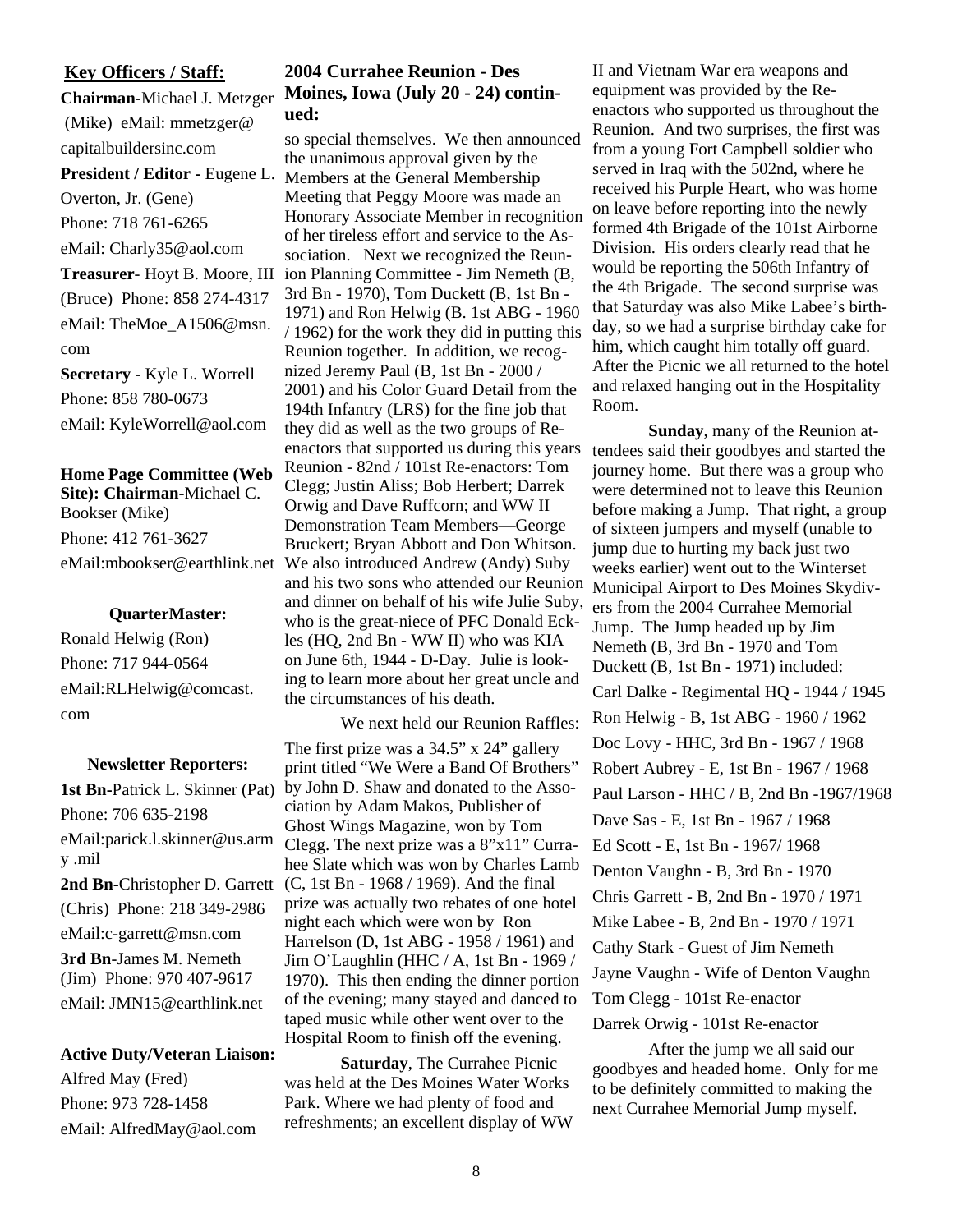### **Key Officers / Staff:**

**Chairman**-Michael J. Metzger (Mike) eMail: mmetzger@ capitalbuildersinc.com Overton, Jr. (Gene) Phone: 718 761-6265 eMail: Charly35@aol.com (Bruce) Phone: 858 274-4317 eMail: TheMoe\_A1506@msn. com **Secretary** - Kyle L. Worrell Phone: 858 780-0673

eMail: KyleWorrell@aol.com

**Home Page Committee (Web Site): Chairman**-Michael C. Bookser (Mike) Phone: 412 761-3627

#### **QuarterMaster:**

Ronald Helwig (Ron) Phone: 717 944-0564 eMail:RLHelwig@comcast. com

#### **Newsletter Reporters:**

**1st Bn-**Patrick L. Skinner (Pat) Phone: 706 635-2198 eMail:parick.l.skinner@us.arm y .mil (Chris) Phone: 218 349-2986 eMail:c-garrett@msn.com **3rd Bn**-James M. Nemeth

(Jim) Phone: 970 407-9617 eMail: JMN15@earthlink.net

#### **Active Duty/Veteran Liaison:**

Alfred May (Fred) Phone: 973 728-1458 eMail: AlfredMay@aol.com

### **2004 Currahee Reunion - Des Moines, Iowa (July 20 - 24) continued:**

so special themselves. We then announced the unanimous approval given by the President / Editor - Eugene L. Members at the General Membership Meeting that Peggy Moore was made an Honorary Associate Member in recognition of her tireless effort and service to the Association. Next we recognized the Reun-Treasurer- Hoyt B. Moore, III ion Planning Committee - Jim Nemeth (B, 3rd Bn - 1970), Tom Duckett (B, 1st Bn - 1971) and Ron Helwig (B. 1st ABG - 1960 / 1962) for the work they did in putting this Reunion together. In addition, we recognized Jeremy Paul (B, 1st Bn - 2000 / 2001) and his Color Guard Detail from the 194th Infantry (LRS) for the fine job that they did as well as the two groups of Reenactors that supported us during this years Reunion - 82nd / 101st Re-enactors: Tom Clegg; Justin Aliss; Bob Herbert; Darrek Orwig and Dave Ruffcorn; and WW II Demonstration Team Members—George Bruckert; Bryan Abbott and Don Whitson. eMail:mbookser@earthlink.net We also introduced Andrew (Andy) Suby and his two sons who attended our Reunion and dinner on behalf of his wife Julie Suby, who is the great-niece of PFC Donald Eckles (HQ, 2nd Bn - WW II) who was KIA on June 6th, 1944 - D-Day. Julie is looking to learn more about her great uncle and the circumstances of his death.

 We next held our Reunion Raffles: The first prize was a 34.5" x 24" gallery print titled "We Were a Band Of Brothers" by John D. Shaw and donated to the Association by Adam Makos, Publisher of Ghost Wings Magazine, won by Tom Clegg. The next prize was a 8"x11" Currahee Slate which was won by Charles Lamb 2nd Bn-Christopher D. Garrett (C, 1st Bn - 1968 / 1969). And the final prize was actually two rebates of one hotel night each which were won by Ron Harrelson (D, 1st ABG - 1958 / 1961) and Jim O'Laughlin (HHC / A, 1st Bn - 1969 / 1970). This then ending the dinner portion of the evening; many stayed and danced to taped music while other went over to the Hospital Room to finish off the evening.

> **Saturday**, The Currahee Picnic was held at the Des Moines Water Works Park. Where we had plenty of food and refreshments; an excellent display of WW

II and Vietnam War era weapons and equipment was provided by the Reenactors who supported us throughout the Reunion. And two surprises, the first was from a young Fort Campbell soldier who served in Iraq with the 502nd, where he received his Purple Heart, who was home on leave before reporting into the newly formed 4th Brigade of the 101st Airborne Division. His orders clearly read that he would be reporting the 506th Infantry of the 4th Brigade. The second surprise was that Saturday was also Mike Labee's birthday, so we had a surprise birthday cake for him, which caught him totally off guard. After the Picnic we all returned to the hotel and relaxed hanging out in the Hospitality Room.

**Sunday**, many of the Reunion attendees said their goodbyes and started the journey home. But there was a group who were determined not to leave this Reunion before making a Jump. That right, a group of sixteen jumpers and myself (unable to jump due to hurting my back just two weeks earlier) went out to the Winterset Municipal Airport to Des Moines Skydivers from the 2004 Currahee Memorial Jump. The Jump headed up by Jim Nemeth (B, 3rd Bn - 1970 and Tom Duckett (B, 1st Bn - 1971) included: Carl Dalke - Regimental HQ - 1944 / 1945 Ron Helwig - B, 1st ABG - 1960 / 1962 Doc Lovy - HHC, 3rd Bn - 1967 / 1968 Robert Aubrey - E, 1st Bn - 1967 / 1968 Paul Larson - HHC / B, 2nd Bn -1967/1968 Dave Sas - E, 1st Bn - 1967 / 1968 Ed Scott - E, 1st Bn - 1967/ 1968 Denton Vaughn - B, 3rd Bn - 1970 Chris Garrett - B, 2nd Bn - 1970 / 1971 Mike Labee - B, 2nd Bn - 1970 / 1971 Cathy Stark - Guest of Jim Nemeth Jayne Vaughn - Wife of Denton Vaughn Tom Clegg - 101st Re-enactor Darrek Orwig - 101st Re-enactor

After the jump we all said our goodbyes and headed home. Only for me to be definitely committed to making the next Currahee Memorial Jump myself.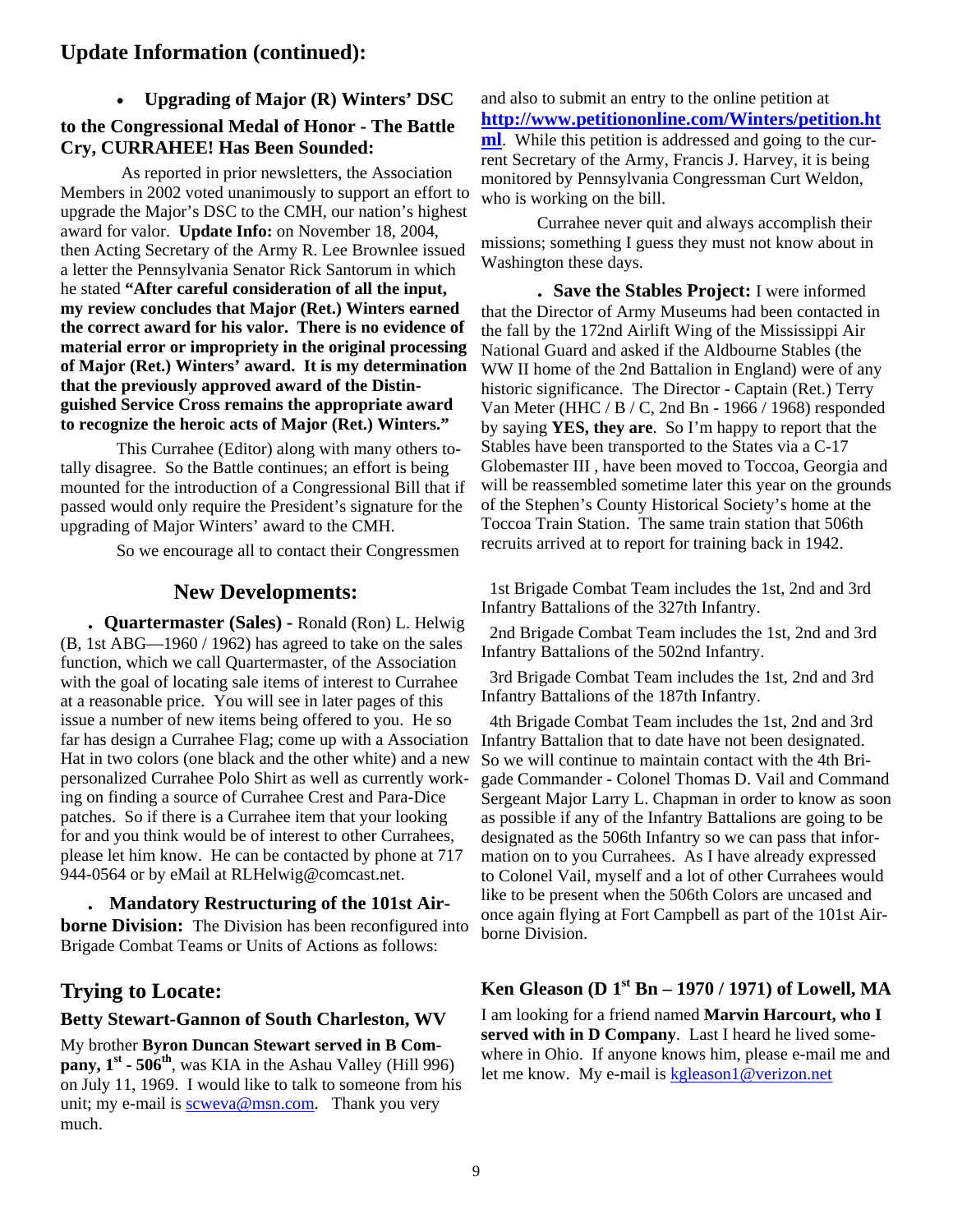# **Update Information (continued):**

• **Upgrading of Major (R) Winters' DSC** 

### **to the Congressional Medal of Honor - The Battle Cry, CURRAHEE! Has Been Sounded:**

As reported in prior newsletters, the Association Members in 2002 voted unanimously to support an effort to upgrade the Major's DSC to the CMH, our nation's highest award for valor. **Update Info:** on November 18, 2004, then Acting Secretary of the Army R. Lee Brownlee issued a letter the Pennsylvania Senator Rick Santorum in which he stated **"After careful consideration of all the input, my review concludes that Major (Ret.) Winters earned the correct award for his valor. There is no evidence of material error or impropriety in the original processing of Major (Ret.) Winters' award. It is my determination that the previously approved award of the Distinguished Service Cross remains the appropriate award to recognize the heroic acts of Major (Ret.) Winters."**

This Currahee (Editor) along with many others totally disagree. So the Battle continues; an effort is being mounted for the introduction of a Congressional Bill that if passed would only require the President's signature for the upgrading of Major Winters' award to the CMH.

So we encourage all to contact their Congressmen

### **New Developments:**

 **. Quartermaster (Sales) -** Ronald (Ron) L. Helwig (B, 1st ABG—1960 / 1962) has agreed to take on the sales function, which we call Quartermaster, of the Association with the goal of locating sale items of interest to Currahee at a reasonable price. You will see in later pages of this issue a number of new items being offered to you. He so far has design a Currahee Flag; come up with a Association Hat in two colors (one black and the other white) and a new personalized Currahee Polo Shirt as well as currently working on finding a source of Currahee Crest and Para-Dice patches. So if there is a Currahee item that your looking for and you think would be of interest to other Currahees, please let him know. He can be contacted by phone at 717 944-0564 or by eMail at RLHelwig@comcast.net.

 **. Mandatory Restructuring of the 101st Airborne Division:** The Division has been reconfigured into Brigade Combat Teams or Units of Actions as follows:

# **Trying to Locate:**

#### **Betty Stewart-Gannon of South Charleston, WV**

My brother **Byron Duncan Stewart served in B Company,**  $1^{st}$  **- 506<sup>th</sup>**, was KIA in the Ashau Valley (Hill 996) on July 11, 1969. I would like to talk to someone from his unit; my e-mail is scweva@msn.com. Thank you very much.

and also to submit an entry to the online petition at **http://www.petitiononline.com/Winters/petition.ht ml**. While this petition is addressed and going to the current Secretary of the Army, Francis J. Harvey, it is being monitored by Pennsylvania Congressman Curt Weldon, who is working on the bill.

 Currahee never quit and always accomplish their missions; something I guess they must not know about in Washington these days.

 **. Save the Stables Project:** I were informed that the Director of Army Museums had been contacted in the fall by the 172nd Airlift Wing of the Mississippi Air National Guard and asked if the Aldbourne Stables (the WW II home of the 2nd Battalion in England) were of any historic significance. The Director - Captain (Ret.) Terry Van Meter (HHC / B / C, 2nd Bn - 1966 / 1968) responded by saying **YES, they are**. So I'm happy to report that the Stables have been transported to the States via a C-17 Globemaster III , have been moved to Toccoa, Georgia and will be reassembled sometime later this year on the grounds of the Stephen's County Historical Society's home at the Toccoa Train Station. The same train station that 506th recruits arrived at to report for training back in 1942.

 1st Brigade Combat Team includes the 1st, 2nd and 3rd Infantry Battalions of the 327th Infantry.

 2nd Brigade Combat Team includes the 1st, 2nd and 3rd Infantry Battalions of the 502nd Infantry.

 3rd Brigade Combat Team includes the 1st, 2nd and 3rd Infantry Battalions of the 187th Infantry.

 4th Brigade Combat Team includes the 1st, 2nd and 3rd Infantry Battalion that to date have not been designated. So we will continue to maintain contact with the 4th Brigade Commander - Colonel Thomas D. Vail and Command Sergeant Major Larry L. Chapman in order to know as soon as possible if any of the Infantry Battalions are going to be designated as the 506th Infantry so we can pass that information on to you Currahees. As I have already expressed to Colonel Vail, myself and a lot of other Currahees would like to be present when the 506th Colors are uncased and once again flying at Fort Campbell as part of the 101st Airborne Division.

### **Ken Gleason (D 1st Bn – 1970 / 1971) of Lowell, MA**

I am looking for a friend named **Marvin Harcourt, who I served with in D Company**. Last I heard he lived somewhere in Ohio. If anyone knows him, please e-mail me and let me know. My e-mail is kgleason1@verizon.net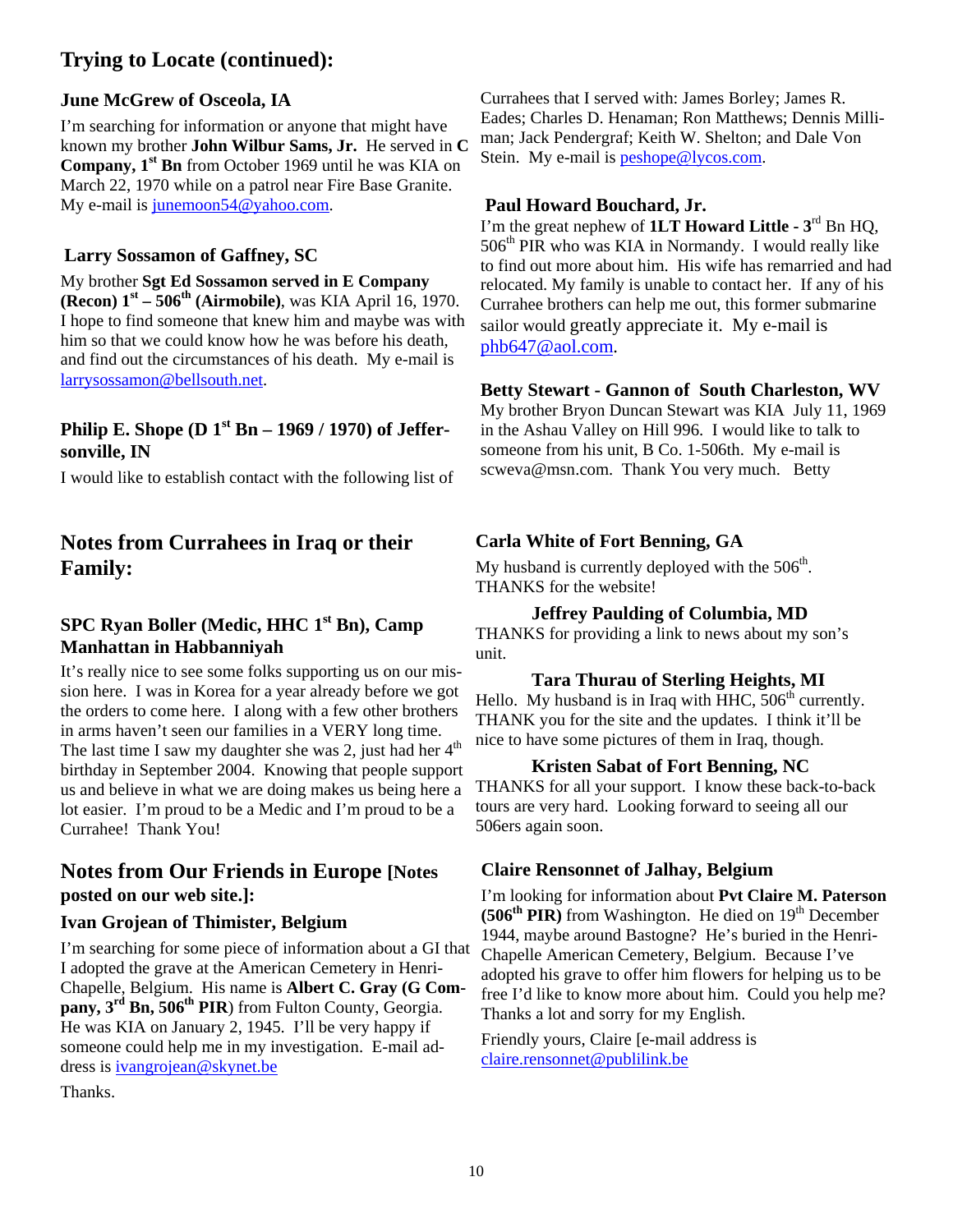# **Trying to Locate (continued):**

### **June McGrew of Osceola, IA**

I'm searching for information or anyone that might have known my brother **John Wilbur Sams, Jr.** He served in **C Company, 1st Bn** from October 1969 until he was KIA on March 22, 1970 while on a patrol near Fire Base Granite. My e-mail is junemoon54@yahoo.com.

### **Larry Sossamon of Gaffney, SC**

My brother **Sgt Ed Sossamon served in E Company (Recon) 1st – 506th (Airmobile)**, was KIA April 16, 1970. I hope to find someone that knew him and maybe was with him so that we could know how he was before his death, and find out the circumstances of his death. My e-mail is larrysossamon@bellsouth.net.

### **Philip E. Shope (D 1st Bn – 1969 / 1970) of Jeffersonville, IN**

I would like to establish contact with the following list of

# **Notes from Currahees in Iraq or their Family:**

### **SPC Ryan Boller (Medic, HHC 1st Bn), Camp Manhattan in Habbanniyah**

It's really nice to see some folks supporting us on our mission here. I was in Korea for a year already before we got the orders to come here. I along with a few other brothers in arms haven't seen our families in a VERY long time. The last time I saw my daughter she was 2, just had her  $4<sup>th</sup>$ birthday in September 2004. Knowing that people support us and believe in what we are doing makes us being here a lot easier. I'm proud to be a Medic and I'm proud to be a Currahee! Thank You!

# **Notes from Our Friends in Europe [Notes posted on our web site.]:**

### **Ivan Grojean of Thimister, Belgium**

I'm searching for some piece of information about a GI that I adopted the grave at the American Cemetery in Henri-Chapelle, Belgium. His name is **Albert C. Gray (G Com**pany, 3<sup>rd</sup> Bn, 506<sup>th</sup> PIR) from Fulton County, Georgia. He was KIA on January 2, 1945. I'll be very happy if someone could help me in my investigation. E-mail address is ivangrojean@skynet.be

Thanks.

Currahees that I served with: James Borley; James R. Eades; Charles D. Henaman; Ron Matthews; Dennis Milliman; Jack Pendergraf; Keith W. Shelton; and Dale Von Stein. My e-mail is peshope@lycos.com.

#### **Paul Howard Bouchard, Jr.**

I'm the great nephew of **1LT Howard Little - 3**rd Bn HQ,  $506<sup>th</sup>$  PIR who was KIA in Normandy. I would really like to find out more about him. His wife has remarried and had relocated. My family is unable to contact her. If any of his Currahee brothers can help me out, this former submarine sailor would greatly appreciate it. My e-mail is phb647@aol.com.

### **Betty Stewart - Gannon of South Charleston, WV**

My brother Bryon Duncan Stewart was KIA July 11, 1969 in the Ashau Valley on Hill 996. I would like to talk to someone from his unit, B Co. 1-506th. My e-mail is scweva@msn.com. Thank You very much. Betty

### **Carla White of Fort Benning, GA**

My husband is currently deployed with the  $506<sup>th</sup>$ . THANKS for the website!

#### **Jeffrey Paulding of Columbia, MD**

THANKS for providing a link to news about my son's unit.

### **Tara Thurau of Sterling Heights, MI**

Hello. My husband is in Iraq with HHC,  $506<sup>th</sup>$  currently. THANK you for the site and the updates. I think it'll be nice to have some pictures of them in Iraq, though.

#### **Kristen Sabat of Fort Benning, NC**

THANKS for all your support. I know these back-to-back tours are very hard. Looking forward to seeing all our 506ers again soon.

### **Claire Rensonnet of Jalhay, Belgium**

I'm looking for information about **Pvt Claire M. Paterson (506<sup>th</sup> PIR)** from Washington. He died on 19<sup>th</sup> December 1944, maybe around Bastogne? He's buried in the Henri-Chapelle American Cemetery, Belgium. Because I've adopted his grave to offer him flowers for helping us to be free I'd like to know more about him. Could you help me? Thanks a lot and sorry for my English.

Friendly yours, Claire [e-mail address is claire.rensonnet@publilink.be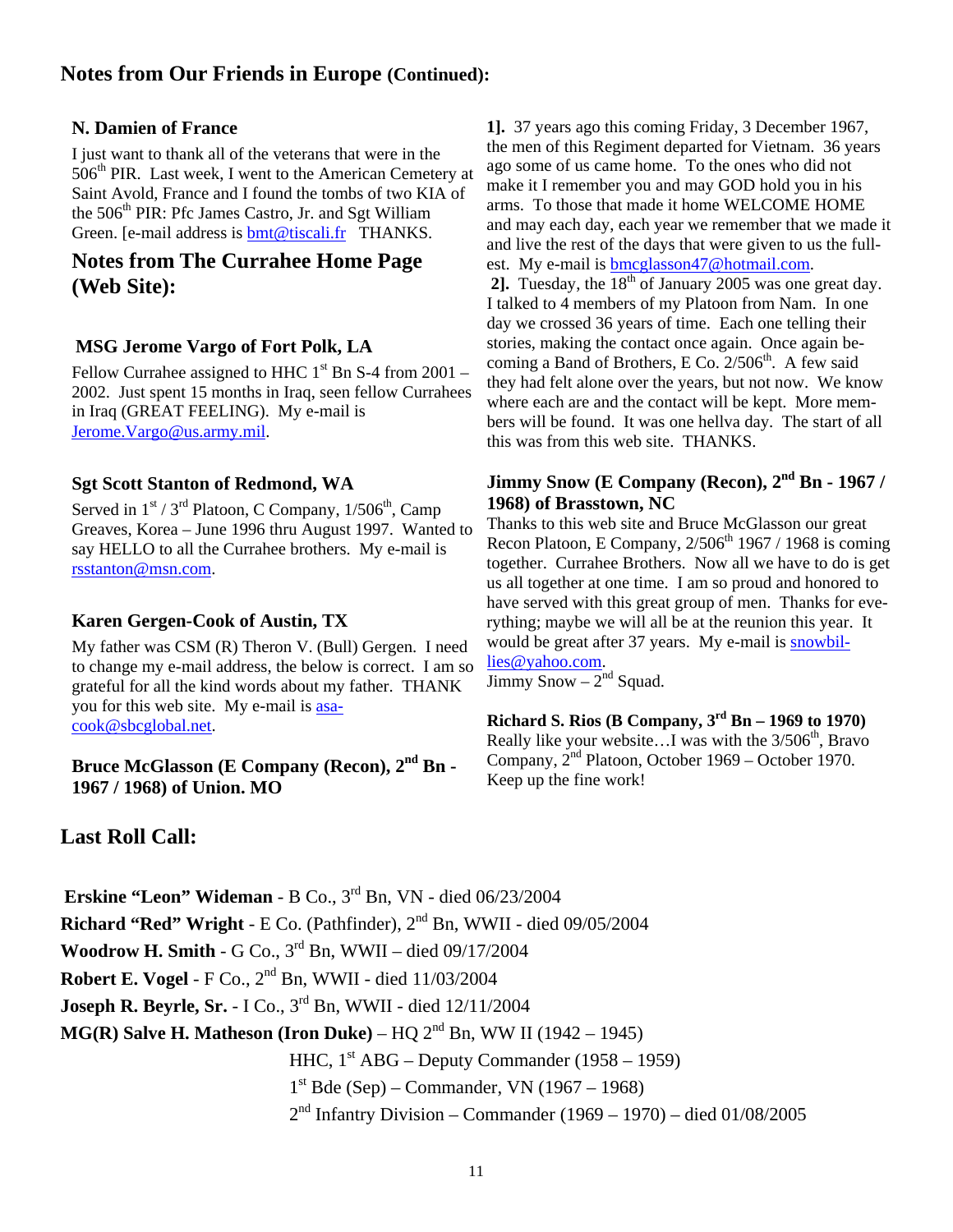# **Notes from Our Friends in Europe (Continued):**

### **N. Damien of France**

I just want to thank all of the veterans that were in the 506<sup>th</sup> PIR. Last week, I went to the American Cemetery at Saint Avold, France and I found the tombs of two KIA of the 506<sup>th</sup> PIR: Pfc James Castro, Jr. and Sgt William Green. [e-mail address is bmt@tiscali.fr THANKS.

# **Notes from The Currahee Home Page (Web Site):**

### **MSG Jerome Vargo of Fort Polk, LA**

Fellow Currahee assigned to HHC  $1<sup>st</sup>$  Bn S-4 from 2001 – 2002. Just spent 15 months in Iraq, seen fellow Currahees in Iraq (GREAT FEELING). My e-mail is Jerome.Vargo@us.army.mil.

#### **Sgt Scott Stanton of Redmond, WA**

Served in  $1<sup>st</sup> / 3<sup>rd</sup>$  Platoon, C Company,  $1/506<sup>th</sup>$ , Camp Greaves, Korea – June 1996 thru August 1997. Wanted to say HELLO to all the Currahee brothers. My e-mail is rsstanton@msn.com.

#### **Karen Gergen-Cook of Austin, TX**

My father was CSM (R) Theron V. (Bull) Gergen. I need to change my e-mail address, the below is correct. I am so grateful for all the kind words about my father. THANK you for this web site. My e-mail is asacook@sbcglobal.net.

**Bruce McGlasson (E Company (Recon), 2nd Bn - 1967 / 1968) of Union. MO**

# **Last Roll Call:**

**1].** 37 years ago this coming Friday, 3 December 1967, the men of this Regiment departed for Vietnam. 36 years ago some of us came home. To the ones who did not make it I remember you and may GOD hold you in his arms. To those that made it home WELCOME HOME and may each day, each year we remember that we made it and live the rest of the days that were given to us the fullest. My e-mail is **bmcglasson47@hotmail.com**. **21.** Tuesday, the  $18^{th}$  of January 2005 was one great day. I talked to 4 members of my Platoon from Nam. In one day we crossed 36 years of time. Each one telling their stories, making the contact once again. Once again becoming a Band of Brothers, E Co.  $2/506<sup>th</sup>$ . A few said they had felt alone over the years, but not now. We know where each are and the contact will be kept. More members will be found. It was one hellva day. The start of all this was from this web site. THANKS.

### **Jimmy Snow (E Company (Recon), 2nd Bn - 1967 / 1968) of Brasstown, NC**

Thanks to this web site and Bruce McGlasson our great Recon Platoon, E Company,  $2/506<sup>th</sup> 1967 / 1968$  is coming together. Currahee Brothers. Now all we have to do is get us all together at one time. I am so proud and honored to have served with this great group of men. Thanks for everything; maybe we will all be at the reunion this year. It would be great after 37 years. My e-mail is snowbillies@yahoo.com.

 $\overline{\text{Jimmy Snow} - 2}^{\text{nd}}$  Squad.

**Richard S. Rios (B Company, 3rd Bn – 1969 to 1970)**  Really like your website...I was with the  $3/506<sup>th</sup>$ , Bravo Company, 2nd Platoon, October 1969 – October 1970. Keep up the fine work!

**Erskine "Leon" Wideman** - B Co., 3rd Bn, VN - died 06/23/2004 **Richard "Red" Wright** - E Co. (Pathfinder), 2nd Bn, WWII - died 09/05/2004 **Woodrow H. Smith** - G Co., 3rd Bn, WWII – died 09/17/2004 **Robert E. Vogel** - F Co., 2nd Bn, WWII - died 11/03/2004 **Joseph R. Beyrle, Sr.** - I Co., 3<sup>rd</sup> Bn, WWII - died 12/11/2004 **MG(R) Salve H. Matheson (Iron Duke)** – HQ 2nd Bn, WW II (1942 – 1945) HHC,  $1<sup>st</sup> ABC – Deputy Commander (1958 – 1959)$  $1<sup>st</sup> Bde (Sep) – Commander, VN (1967 – 1968)$  $2<sup>nd</sup>$  Infantry Division – Commander (1969 – 1970) – died 01/08/2005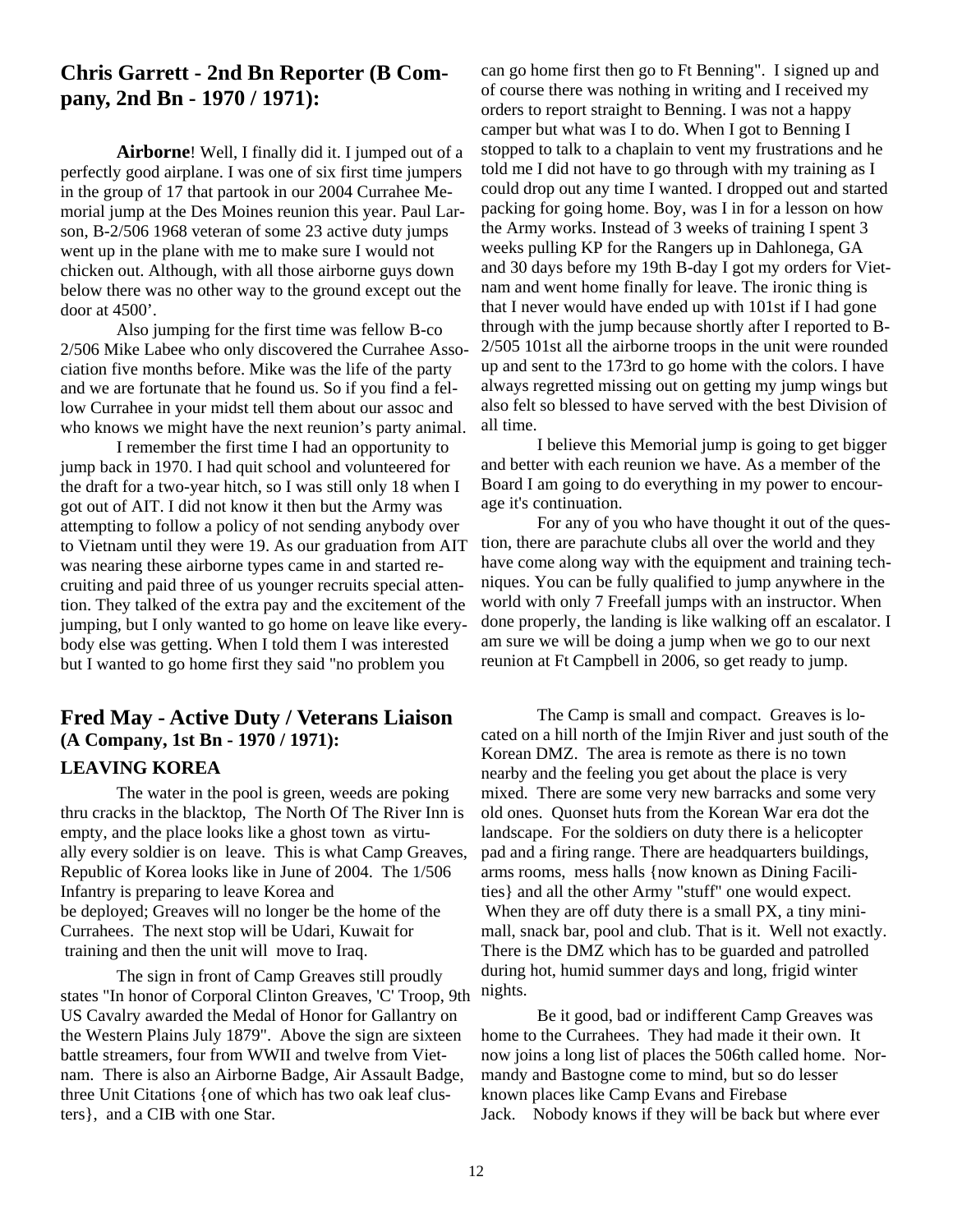# **Chris Garrett - 2nd Bn Reporter (B Company, 2nd Bn - 1970 / 1971):**

 **Airborne**! Well, I finally did it. I jumped out of a perfectly good airplane. I was one of six first time jumpers in the group of 17 that partook in our 2004 Currahee Memorial jump at the Des Moines reunion this year. Paul Larson, B-2/506 1968 veteran of some 23 active duty jumps went up in the plane with me to make sure I would not chicken out. Although, with all those airborne guys down below there was no other way to the ground except out the door at 4500'.

 Also jumping for the first time was fellow B-co 2/506 Mike Labee who only discovered the Currahee Association five months before. Mike was the life of the party and we are fortunate that he found us. So if you find a fellow Currahee in your midst tell them about our assoc and who knows we might have the next reunion's party animal.

 I remember the first time I had an opportunity to jump back in 1970. I had quit school and volunteered for the draft for a two-year hitch, so I was still only 18 when I got out of AIT. I did not know it then but the Army was attempting to follow a policy of not sending anybody over to Vietnam until they were 19. As our graduation from AIT was nearing these airborne types came in and started recruiting and paid three of us younger recruits special attention. They talked of the extra pay and the excitement of the jumping, but I only wanted to go home on leave like everybody else was getting. When I told them I was interested but I wanted to go home first they said "no problem you

# **Fred May - Active Duty / Veterans Liaison (A Company, 1st Bn - 1970 / 1971): LEAVING KOREA**

 The water in the pool is green, weeds are poking thru cracks in the blacktop, The North Of The River Inn is empty, and the place looks like a ghost town as virtually every soldier is on leave. This is what Camp Greaves, Republic of Korea looks like in June of 2004. The 1/506 Infantry is preparing to leave Korea and be deployed; Greaves will no longer be the home of the Currahees. The next stop will be Udari, Kuwait for training and then the unit will move to Iraq.

 The sign in front of Camp Greaves still proudly states "In honor of Corporal Clinton Greaves, 'C' Troop, 9th US Cavalry awarded the Medal of Honor for Gallantry on the Western Plains July 1879". Above the sign are sixteen battle streamers, four from WWII and twelve from Vietnam. There is also an Airborne Badge, Air Assault Badge, three Unit Citations {one of which has two oak leaf clusters}, and a CIB with one Star.

can go home first then go to Ft Benning". I signed up and of course there was nothing in writing and I received my orders to report straight to Benning. I was not a happy camper but what was I to do. When I got to Benning I stopped to talk to a chaplain to vent my frustrations and he told me I did not have to go through with my training as I could drop out any time I wanted. I dropped out and started packing for going home. Boy, was I in for a lesson on how the Army works. Instead of 3 weeks of training I spent 3 weeks pulling KP for the Rangers up in Dahlonega, GA and 30 days before my 19th B-day I got my orders for Vietnam and went home finally for leave. The ironic thing is that I never would have ended up with 101st if I had gone through with the jump because shortly after I reported to B-2/505 101st all the airborne troops in the unit were rounded up and sent to the 173rd to go home with the colors. I have always regretted missing out on getting my jump wings but also felt so blessed to have served with the best Division of all time.

 I believe this Memorial jump is going to get bigger and better with each reunion we have. As a member of the Board I am going to do everything in my power to encourage it's continuation.

 For any of you who have thought it out of the question, there are parachute clubs all over the world and they have come along way with the equipment and training techniques. You can be fully qualified to jump anywhere in the world with only 7 Freefall jumps with an instructor. When done properly, the landing is like walking off an escalator. I am sure we will be doing a jump when we go to our next reunion at Ft Campbell in 2006, so get ready to jump.

 The Camp is small and compact. Greaves is located on a hill north of the Imjin River and just south of the Korean DMZ. The area is remote as there is no town nearby and the feeling you get about the place is very mixed. There are some very new barracks and some very old ones. Quonset huts from the Korean War era dot the landscape. For the soldiers on duty there is a helicopter pad and a firing range. There are headquarters buildings, arms rooms, mess halls {now known as Dining Facilities} and all the other Army "stuff" one would expect. When they are off duty there is a small PX, a tiny minimall, snack bar, pool and club. That is it. Well not exactly. There is the DMZ which has to be guarded and patrolled during hot, humid summer days and long, frigid winter nights.

 Be it good, bad or indifferent Camp Greaves was home to the Currahees. They had made it their own. It now joins a long list of places the 506th called home. Normandy and Bastogne come to mind, but so do lesser known places like Camp Evans and Firebase Jack. Nobody knows if they will be back but where ever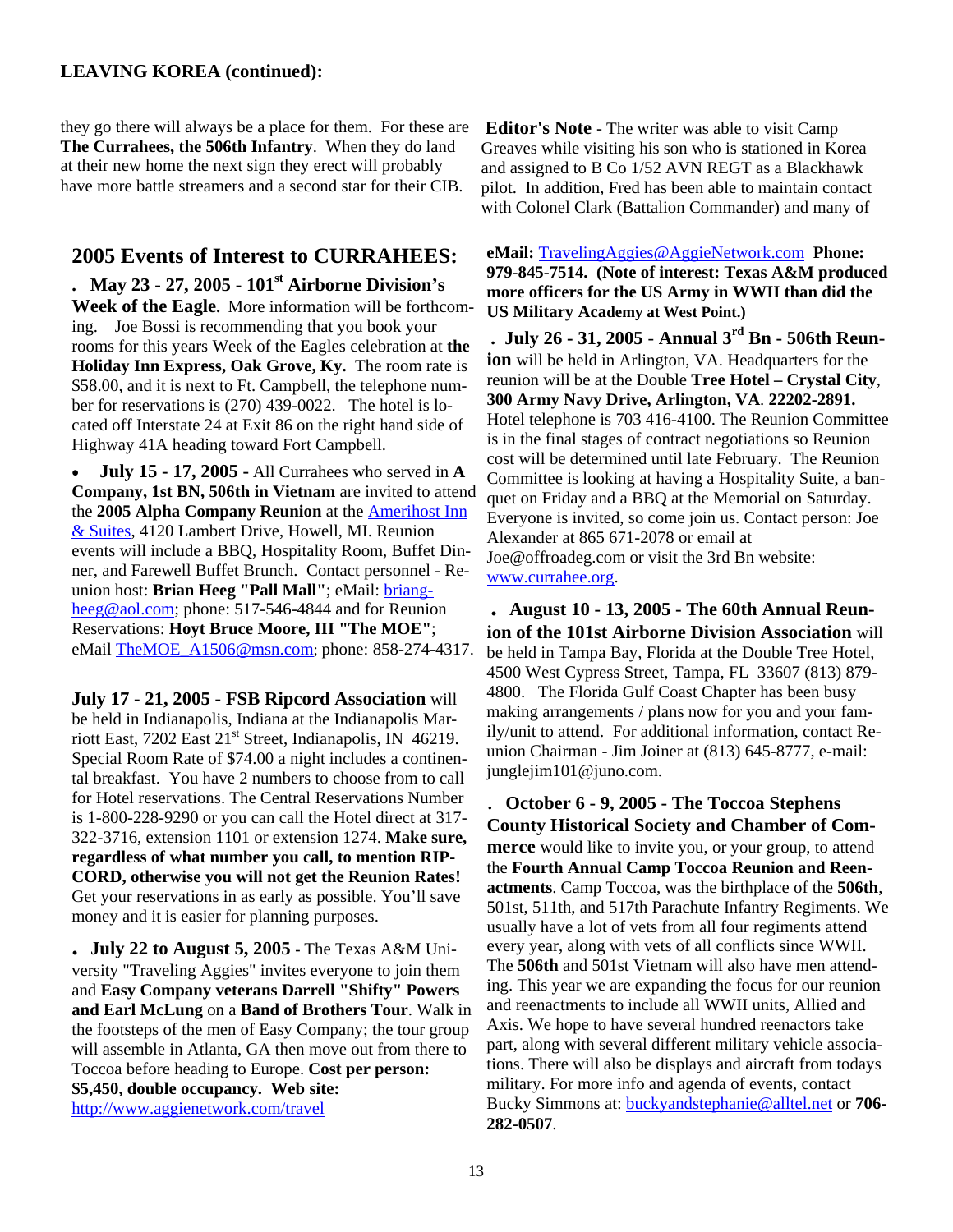#### **LEAVING KOREA (continued):**

they go there will always be a place for them. For these are **The Currahees, the 506th Infantry**. When they do land at their new home the next sign they erect will probably have more battle streamers and a second star for their CIB.

### **2005 Events of Interest to CURRAHEES:**

**. May 23 - 27, 2005 - 101st Airborne Division's Week of the Eagle.** More information will be forthcoming. Joe Bossi is recommending that you book your rooms for this years Week of the Eagles celebration at **the Holiday Inn Express, Oak Grove, Ky.** The room rate is \$58.00, and it is next to Ft. Campbell, the telephone number for reservations is (270) 439-0022. The hotel is located off Interstate 24 at Exit 86 on the right hand side of Highway 41A heading toward Fort Campbell.

• **July 15 - 17, 2005 -** All Currahees who served in **A Company, 1st BN, 506th in Vietnam** are invited to attend the **2005 Alpha Company Reunion** at the Amerihost Inn & Suites, 4120 Lambert Drive, Howell, MI. Reunion events will include a BBQ, Hospitality Room, Buffet Dinner, and Farewell Buffet Brunch. Contact personnel - Reunion host: Brian Heeg "Pall Mall"; eMail: briangheeg@aol.com; phone: 517-546-4844 and for Reunion Reservations: **Hoyt Bruce Moore, III "The MOE"**; eMail TheMOE\_A1506@msn.com; phone: 858-274-4317.

**July 17 - 21, 2005 - FSB Ripcord Association** will be held in Indianapolis, Indiana at the Indianapolis Marriott East, 7202 East 21<sup>st</sup> Street, Indianapolis, IN 46219. Special Room Rate of \$74.00 a night includes a continental breakfast. You have 2 numbers to choose from to call for Hotel reservations. The Central Reservations Number is 1-800-228-9290 or you can call the Hotel direct at 317- 322-3716, extension 1101 or extension 1274. **Make sure, regardless of what number you call, to mention RIP-CORD, otherwise you will not get the Reunion Rates!**  Get your reservations in as early as possible. You'll save money and it is easier for planning purposes.

**. July 22 to August 5, 2005 -** The Texas A&M University "Traveling Aggies" invites everyone to join them and **Easy Company veterans Darrell "Shifty" Powers and Earl McLung** on a **Band of Brothers Tour**. Walk in the footsteps of the men of Easy Company; the tour group will assemble in Atlanta, GA then move out from there to Toccoa before heading to Europe. **Cost per person: \$5,450, double occupancy. Web site:** http://www.aggienetwork.com/travel

**Editor's Note** - The writer was able to visit Camp Greaves while visiting his son who is stationed in Korea and assigned to B Co 1/52 AVN REGT as a Blackhawk pilot. In addition, Fred has been able to maintain contact with Colonel Clark (Battalion Commander) and many of

**eMail:** TravelingAggies@AggieNetwork.com **Phone: 979-845-7514. (Note of interest: Texas A&M produced more officers for the US Army in WWII than did the US Military Academy at West Point.)** 

**. July 26 - 31, 2005** - **Annual 3rd Bn - 506th Reunion** will be held in Arlington, VA. Headquarters for the reunion will be at the Double **Tree Hotel – Crystal City**, **300 Army Navy Drive, Arlington, VA**. **22202-2891.**  Hotel telephone is 703 416-4100. The Reunion Committee is in the final stages of contract negotiations so Reunion cost will be determined until late February. The Reunion Committee is looking at having a Hospitality Suite, a banquet on Friday and a BBQ at the Memorial on Saturday. Everyone is invited, so come join us. Contact person: Joe Alexander at 865 671-2078 or email at Joe@offroadeg.com or visit the 3rd Bn website: www.currahee.org.

**. August 10 - 13, 2005 - The 60th Annual Reunion of the 101st Airborne Division Association** will be held in Tampa Bay, Florida at the Double Tree Hotel, 4500 West Cypress Street, Tampa, FL 33607 (813) 879- 4800. The Florida Gulf Coast Chapter has been busy making arrangements / plans now for you and your family/unit to attend. For additional information, contact Reunion Chairman - Jim Joiner at (813) 645-8777, e-mail: junglejim101@juno.com.

. **October 6 - 9, 2005 - The Toccoa Stephens County Historical Society and Chamber of Commerce** would like to invite you, or your group, to attend the **Fourth Annual Camp Toccoa Reunion and Reenactments**. Camp Toccoa, was the birthplace of the **506th**, 501st, 511th, and 517th Parachute Infantry Regiments. We usually have a lot of vets from all four regiments attend every year, along with vets of all conflicts since WWII. The **506th** and 501st Vietnam will also have men attending. This year we are expanding the focus for our reunion and reenactments to include all WWII units, Allied and Axis. We hope to have several hundred reenactors take part, along with several different military vehicle associations. There will also be displays and aircraft from todays military. For more info and agenda of events, contact Bucky Simmons at: buckyandstephanie@alltel.net or **706- 282-0507**.